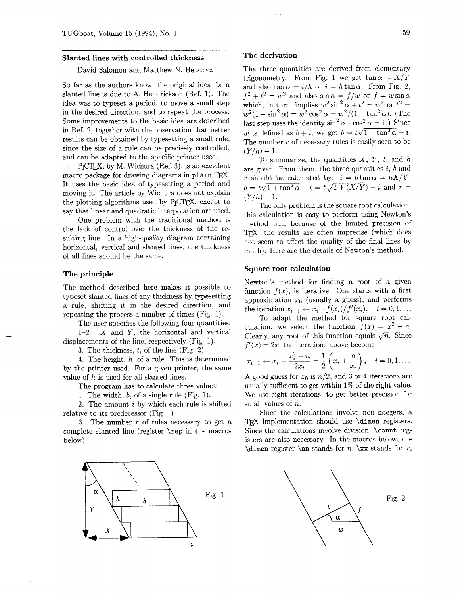#### **Slanted lines with controlled thickness**

## David Salomon and Matthew N. Hendryx

So far as the authors know, the original idea for a slanted line is due to A. Hendrickson (Ref. 1). The idea was to typeset a period, to move a small step in the desired direction, and to repeat the process. Some improvements to the basic idea are described in Ref. 2, together with the observation that better results can be obtained by typesetting a small rule, since the size of a rule can be precisely controlled,<br>
and can be adapted to the specific printer used.<br>  $P_{\text{ICTE}}$ X, by M. Wichura (Ref. 3), is an excellent<br>
macro package for drawing diagrams in plain  $T_{\text{EX}}$ and can be adapted to the specific printer used.

by M. Wichura (Ref. 3), is an excellent macro package for drawing diagrams in plain TFX. It uses the basic idea of typesetting a period and moving it. The article by Wichura does not explain the plotting algorithms used by  $P_{\text{f}}$  $\text{CTr} X$ , except to say that linear and quadratic interpolation are used.

One problem with the traditional method is the lack of control over the thickness of the resulting line. In a high-quality diagram containing horizontal, vertical and slanted lines, the thickness of all lines should be the same.

#### **The principle**

The method described here makes it possible to typeset slanted lines of any thickness by typesetting a rule, shifting it in the desired direction, and repeating the process a number of times (Fig. 1).

The user specifies the following four quantities:

1-2.  $X$  and  $Y$ , the horizontal and vertical displacements of the line, respectively (Fig. 1).

3. The thickness, t, of the line (Fig. 2).

4. The height,  $h$ , of a rule. This is determined by the printer used. For a given printer, the same value of  $h$  is used for all slanted lines.

The program has to calculate three values:

1. The width, b, of a single rule (Fig. 1).

2. The amount  $i$  by which each rule is shifted relative to its predecessor (Fig. 1).

3. The number  $r$  of rules necessary to get a complete slanted line (register **\rep** in the macros below).



#### **The derivation**

The three quantities are derived from elementary trigonometry. From Fig. 1 we get  $\tan \alpha = X/Y$ and also tan  $\alpha = i/h$  or  $i = h \tan \alpha$ . From Fig. 2,  $f^{2} + t^{2} = w^{2}$  and also  $\sin \alpha = f/w$  or  $f = w \sin \alpha$ which, in turn, implies  $w^2 \sin^2 \alpha + t^2 = w^2$  or  $t^2 =$  $w^{2}(1 - \sin^{2} \alpha) = w^{2} \cos^{2} \alpha = w^{2}/(1 + \tan^{2} \alpha)$ . (The last step uses the identity  $\sin^2 \alpha + \cos^2 \alpha = 1$ .) Since w is defined as  $b + i$ , we get  $b = t\sqrt{1 + \tan^2 \alpha} - i$ . The number  $r$  of necessary rules is easily seen to be  $(Y/h) - 1.$ 

To summarize, the quantities  $X$ ,  $Y$ ,  $t$ , and  $h$ are given. From them, the three quantities  $i, b$  and r should be calculated by:  $i = h \tan \alpha = hX/Y$ ,  $b = t\sqrt{1+\tan^2\alpha} - i = t\sqrt{1+(X/Y)} - i$  and  $r =$  $(Y/h) - 1.$ 

The only problem is the square root calculation. this calculation is easy to perform using Newton's method but, because of the limited precision of T<sub>F</sub>X, the results are often imprecise (which does not seem to affect the quality of the final lines by much). Here are the details of Newton's method.

## **Square root calculation**

Newton's method for finding a root of a given function  $f(x)$ , is iterative. One starts with a first approximation  $x_0$  (usually a guess), and performs the iteration  $x_{i+1} \leftarrow x_i - f(x_i)/f'(x_i), \quad i = 0, 1, ...$ 

To adapt the method for square root cal-To adapt the method for square root cal-<br>culation, we select the function  $f(x) = x^2 - n$ .<br>Clearly, any root of this function equals  $\sqrt{n}$ . Since  $f'(x) = 2x$ , the iterations above become

$$
x_{i+1} \leftarrow x_i - \frac{x_i^2 - n}{2x_i} = \frac{1}{2} \left( x_i + \frac{n}{x_i} \right), \quad i = 0, 1, \dots
$$

A good guess for  $x_0$  is  $n/2$ , and 3 or 4 iterations are usually sufficient to get within 1% of the right value. We use eight iterations, to get better precision for small values of *n*.

Since the calculations involve non-integers, a TFX implementation should use **\dimen** registers. Since the calculations involve division, \count registers are also necessary. In the macros below, the **\dimen register \nn stands for n, \xx stands for**  $x_i$ 

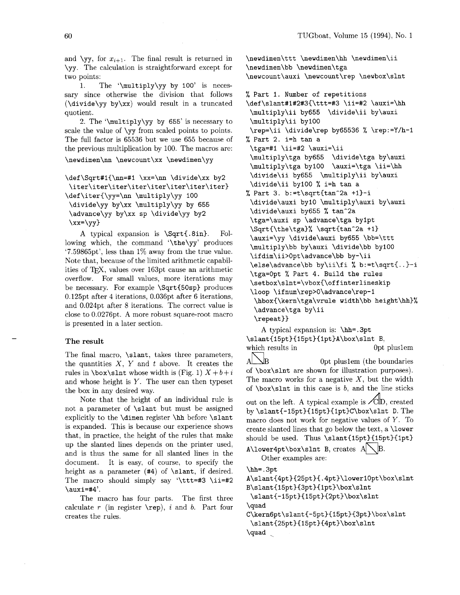and  $\y{y}$ , for  $x_{i+1}$ . The final result is returned in \yy. The calculation is straightforward except for two points:

1. The '\multiply\yy by 100' is necessary since otherwise the division that follows (\divide\yy by\xx) would result in a truncated quotient.

2. The '\multiply\yy by 655' is necessary to scale the value of \yy from scaled points to points. The full factor is 65536 but we use 655 because of the previous multiplication by 100. The macros are: \newdimen\nn \newcount\xx \newdimen\yy

\def \Sqrt#l{\nn=#l \xx=\nn \divide\xx by2 **\iter\iter\iter\iter\iter\iter\iter\iter)**  \def\iter(\yy=\nn \multiply\yy 100 \divide\yy by\xx \multiply\yy by 655 \advance\yy by\xx sp \divide\yy by2  $\xx=\yy$ 

A typical expansion is \Sqrt(.8in). Following which, the command '\the\yy' produces '7.59865pt', less than 1% away from the true value. Note that, because of the limited arithmetic capabilities of TFX, values over 163pt cause an arithmetic overflow. For small values, more iterations may be necessary. For example \Sqrt(50sp) produces 0.125pt after 4 iterations, 0.036pt after 6 iterations, and 0.024pt after 8 iterations. The correct value is close to 0.0276pt. A more robust square-root macro is presented in a later section.

#### **The result**

The final macro, \slant, takes three parameters, the quantities  $X$ ,  $Y$  and  $t$  above. It creates the rules in  $\boxtimes \text{slnt}$  whose width is (Fig. 1)  $X + b + i$ and whose height is  $Y$ . The user can then typeset the box in any desired way.

Note that the height of an individual rule is not a parameter of \slant but must be assigned explicitly to the \dimen register \hh before \slant is expanded. This is because our experience shows that, in practice, the height of the rules that make up the slanted lines depends on the printer used, and is thus the same for all slanted lines in the document. It is easy, of course, to specify the height as a parameter (#4) of \slant, if desired. The macro should simply say '\ttt=#3 \ii=#2  $\langle \text{auxi=#4}' \rangle$ .

The macro has four parts. The first three calculate r (in register  $\text{rep}$ ), *i* and *b*. Part four creates the rules.

\newdimen\ttt \newdimen\hh \newdimen\ii \newdimen\bb \newdimen\tga \newcount\auxi \newcount\rep \newbox\slnt

% Part 1. Number of repetitions \def\slant#1#2#3{\ttt=#3 \ii=#2 \auxi=\hh

\multiply\ii by655 \divide\ii by\auxi \multiply\ii by100 \rep=\ii \divide\rep by65536 % \rep:=Y/h-I % Part 2. i=h tan a \tga=#l \ii=#2 \auxi=\ii \multiply\tga by655 \divide\tga by\auxi \multiply\tga by100 \auxi=\tga \ii=\hh \divide\ii by655 \multiply\ii by\auxi \divide\ii by100 % i=h tan a % Part 3. b:=t\sqrt{tan^2a +1}-i \divide\auxi by10 \multiply\auxi by\auxi \divide\auxi by655 % tan^2a \tga=\auxi sp \advance\tga bylpt \Sqrt{\the\tga}% \sqrt{tan^2a +1} \auxi=\yy \divide\auxi by655 \bb=\ttt \multiply\bb by\auxi \divide\bb by100 **\ifdim\ii>Opt\advance\bb** by-\ii \else\advance\bb by\ii\fi % b:=t\sqrt(..)-i \tga=Opt % Part 4. Build the rules **\setbox\slnt=\vbox(\offinterlineskip**  \loop **\ifnum\rep>O\advance\rep-1**  \hboxC\kern\tga\vrule width\bb height\hh)% \advance\tga by\ii

\repeat))

A typical expansion is: \hh=.3pt **\slant(l5pt)(l5pt)(1pt~A\box\slnt** B, which results in 0pt pluslem  $A\sum_{\text{B}}$  0pt pluslem (the boundaries of \box\slnt are shown for illustration purposes). The macro works for a negative  $X$ , but the width of  $\boxtimes\$ slnt in this case is b, and the line sticks out on the left. A typical example is  $\angle$ cldD, created by **\slant(-15pt)(l5pt)€lpt)C\box\slnt** D. The macro does not work for negative values of Y. To create slanted lines that go below the text, a \lower should be used. Thus \slant{15pt}{15pt}{1pt} A\lower4pt\box\slnt B, creates  $A\setminus B$ . Other examples are: \hh=.3pt A\slant{4pt}{25pt}{.4pt}\lower10pt\box\slnt B\slant{15pt}{3pt}{1pt}\box\slnt

\slant{-15pt}{15pt}{2pt}\box\slnt

\quad

C\kern6pt\slant{-5pt}{15pt}{3pt}\box\slnt \slant{25pt}{15pt}{4pt}\box\slnt \quad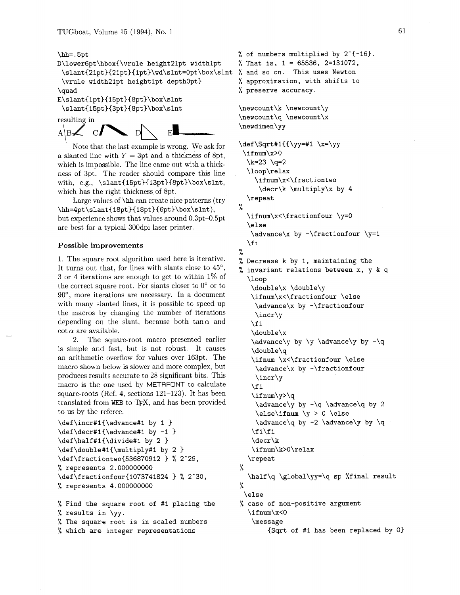\hh= .5pt D\lower6pt\hbox{\vrule height2lpt widthlpt

```
\slant~2lpt){2lpt)~lpt)\wd\slnt=0pt\box\slnt 
% and so on. This uses Newton 
\vrule width2lpt heightlpt depthopt) 
\quad
```

```
E\slant{1pt}{15pt}{8pt}\box\slnt
 \slant{l5pt){3pt){8pt)\box\slnt
```
resulting in



Note that the last example is wrong. We ask for a slanted line with  $Y = 3$ pt and a thickness of 8pt, which is impossible. The line came out with a thickness of 3pt. The reader should compare this line with, e.g., \slant{15pt}{13pt}{8pt}\box\slnt, which has the right thickness of 8pt.

Large values of  $\hbar$  can create nice patterns (try \hh=4pt\slant{18pt}{18pt}{6pt}\box\slnt), but experience shows that values around 0.3pt-0.5pt are best for a typical 300dpi laser printer.

# **Possible improvements**

1. The square root algorithm used here is iterative. It turns out that, for lines with slants close to  $45^{\circ}$ , 3 or 4 iterations are enough to get to within 1% of the correct square root. For slants closer to  $0^{\circ}$  or to 90°, more iterations are necessary. In a document with many slanted lines, it is possible to speed up the macros by changing the number of iterations depending on the slant, because both  $tan \alpha$  and  $\cot \alpha$  are available.

*2.* The square-root macro presented earlier is simple and fast, but is not robust. It causes an arithmetic overflow for values over 163pt. The macro shown below is slower and more complex, but produces results accurate to 28 significant bits. This macro is the one used by METAFONT to calculate square-roots (Ref. 4, sections 121-123). It has been translated from WEB to TEX, and has been provided to us by the referee.

```
\def\incr#l{\advance#l by 1 ) 
\def \decr#l{\advance#l by -1 ) 
\def\half#1{\divide#1 by 2 }
\def\double#l{\multiply#l by 2 ) 
\def\fractiontwo{536870912 ) % 2-29, 
% represents 2.000000000 
\def\fractionfour{1073741824 ) % 2-30, 
% represents 4.000000000
```
% Find the square root of #I placing the % results in \yy. % The square root is in scaled numbers % which are integer representations

```
% of numbers multiplied by 2^{-(-16)}.
%, That is, 1 = 65536, 2=131072,
% approximation, with shifts to 
% preserve accuracy.
```

```
\newcount\k \newcount\y
\newcount\q \newcount\x
\newdimen\yy
```

```
\def \Sqrt#l({\yy=#l \x=\yy 
 \if num\x>O 
  \k=23 \quad q=2\loop\relax 
    \ifnum\x<\fractiontwo 
     \decr\k \multiply\x by 4 
  \repeat 
% 
  \ifnum\x<\fractionfour \y=O
```

```
\else 
\dagger \y = 1\f i
```

```
% Decrease k by 1, maintaining the 
% invariant relations between x, y & q 
  \loop 
   \double\x \double\y 
   \ifnum\x<\fractionfour \else
    \advance\x by -\f ractionf our 
    \incr\y
```

```
\chifi
\double\x 
\advance\y by \y \advance\y by -\q 
\double\q 
\ifnum \x<\fractionfour \else 
\advance\x by -\f ractionf our 
\incr\y
```

```
\f i 
\ifnum\y>\q 
 \advance\y by -\q \advance\q by 2 
\else\ifnum \y > 0 \else 
 \advance\q by -2 \advance\y by \q 
\iint f i
```

```
\decr\k 
\ifnum\k>O\relax
```

```
\repeat
```
%

%

\half\q \global\yy=\q sp %final result % \else

```
% case of non-positive argument
```

```
\if num\x<O
```

```
\message
```

```
{Sqrt of #I has been replaced by 0)
```